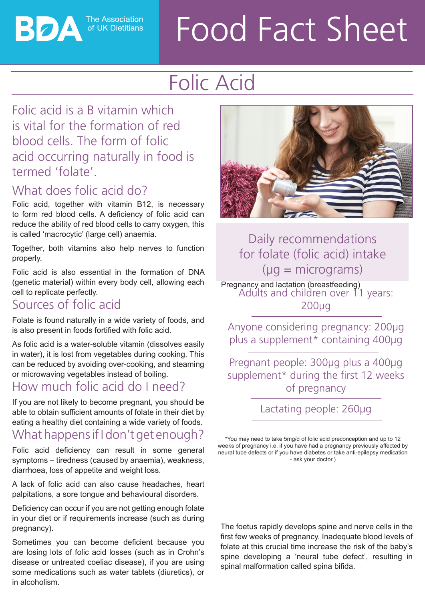**The Association** of UK Dietitians

ВОД

# Food Fact Sheet

# Folic Acid

#### Folic acid is a B vitamin which is vital for the formation of red blood cells. The form of folic acid occurring naturally in food is termed 'folate'.

# What does folic acid do?

Folic acid, together with vitamin B12, is necessary to form red blood cells. A deficiency of folic acid can reduce the ability of red blood cells to carry oxygen, this is called 'macrocytic' (large cell) anaemia.

Together, both vitamins also help nerves to function properly.

Folic acid is also essential in the formation of DNA (genetic material) within every body cell, allowing each cell to replicate perfectly.

#### Sources of folic acid

Folate is found naturally in a wide variety of foods, and is also present in foods fortified with folic acid.

As folic acid is a water-soluble vitamin (dissolves easily in water), it is lost from vegetables during cooking. This can be reduced by avoiding over-cooking, and steaming or microwaving vegetables instead of boiling.

### How much folic acid do I need?

If you are not likely to become pregnant, you should be able to obtain sufficient amounts of folate in their diet by eating a healthy diet containing a wide variety of foods.

# What happens if I don't get enough?

Folic acid deficiency can result in some general symptoms – tiredness (caused by anaemia), weakness, diarrhoea, loss of appetite and weight loss.

A lack of folic acid can also cause headaches, heart palpitations, a sore tongue and behavioural disorders.

Deficiency can occur if you are not getting enough folate in your diet or if requirements increase (such as during pregnancy).

Sometimes you can become deficient because you are losing lots of folic acid losses (such as in Crohn's disease or untreated coeliac disease), if you are using some medications such as water tablets (diuretics), or in alcoholism.



Daily recommendations for folate (folic acid) intake  $(\mu q = micrograms)$ 

Pregnancy and lactation (breastfeeding) Adults and children over 11 years: 200μg

Anyone considering pregnancy: 200μg plus a supplement\* containing 400μg

Pregnant people: 300μg plus a 400μg supplement\* during the first 12 weeks of pregnancy

Lactating people: 260μg

\*You may need to take 5mg/d of folic acid preconception and up to 12 weeks of pregnancy i.e. if you have had a pregnancy previously affected by neural tube defects or if you have diabetes or take anti-epilepsy medication - ask your doctor.)

The foetus rapidly develops spine and nerve cells in the first few weeks of pregnancy. Inadequate blood levels of folate at this crucial time increase the risk of the baby's spine developing a 'neural tube defect', resulting in spinal malformation called spina bifida.